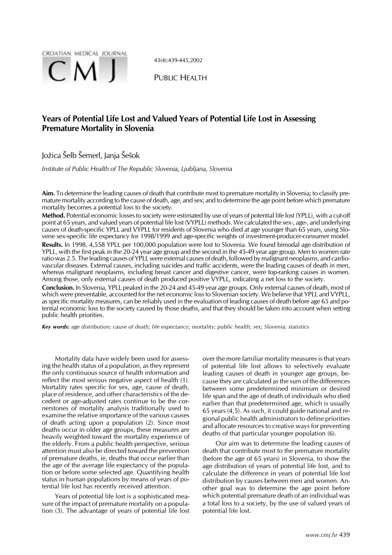

43(4):439-445,2002

PUBLIC HEALTH

# **Years of Potential Life Lost and Valued Years of Potential Life Lost in Assessing Premature Mortality in Slovenia**

## Jo´ica Šelb Šemerl, Janja Šešok

*Institute of Public Health of The Republic Slovenia, Ljubljana, Slovenia*

**Aim.** To determine the leading causes of death that contribute most to premature mortality in Slovenia; to classify premature mortality according to the cause of death, age, and sex; and to determine the age point before which premature mortality becomes a potential loss to the society.

**Method.** Potential economic losses to society were estimated by use of years of potential life lost (YPLL), with a cut-off point at 65 years, and valued years of potential life lost (VYPLL) methods. We calculated the sex-, age-, and underlying causes of death-specific YPLL and VYPLL for residents of Slovenia who died at age younger than 65 years, using Slovene sex-specific life expectancy for 1998/1999 and age-specific weights of investment-producer-consumer model.

**Results.** In 1998, 4,558 YPLL per 100,000 population were lost to Slovenia. We found bimodal age distribution of YPLL, with the first peak in the 20-24 year age group and the second in the 45-49 year age group. Men to women rate ratio was 2.5. The leading causes of YPLL were external causes of death, followed by malignant neoplasms, and cardiovascular diseases. External causes, including suicides and traffic accidents, were the leading causes of death in men, whereas malignant neoplasms, including breast cancer and digestive cancer, were top-ranking causes in women. Among those, only external causes of death produced positive VYPLL, indicating a net loss to the society.

**Conclusion.** In Slovenia, YPLL peaked in the 20-24 and 45-49 year age groups. Only external causes of death, most of which were preventable, accounted for the net economic loss to Slovenian society. We believe that YPLL and VYPLL, as specific mortality measures, can be reliably used in the evaluation of leading causes of death before age 65 and potential economic loss to the society caused by those deaths, and that they should be taken into account when setting public health priorities.

*Key words: age distribution; cause of death; life expectancy; mortality; public health; sex; Slovenia; statistics*

Mortality data have widely been used for assessing the health status of a population, as they represent the only continuous source of health information and reflect the most serious negative aspect of health (1). Mortality rates specific for sex, age, cause of death, place of residence, and other characteristics of the decedent or age-adjusted rates continue to be the cornerstones of mortality analysis traditionally used to examine the relative importance of the various causes of death acting upon a population (2). Since most deaths occur in older age groups, these measures are heavily weighted toward the mortality experience of the elderly. From a public health perspective, serious attention must also be directed toward the prevention of premature deaths, ie, deaths that occur earlier than the age of the average life expectancy of the population or before some selected age. Quantifying health status in human populations by means of years of potential life lost has recently received attention.

Years of potential life lost is a sophisticated measure of the impact of premature mortality on a population (3). The advantage of years of potential life lost over the more familiar mortality measures is that years of potential life lost allows to selectively evaluate leading causes of death in younger age groups, because they are calculated as the sum of the differences between some predetermined minimum or desired life span and the age of death of individuals who died earlier than that predetermined age, which is usually 65 years (4,5). As such, it could guide national and regional public health administrators to define priorities and allocate resources to creative ways for preventing deaths of that particular younger population (6).

Our aim was to determine the leading causes of death that contribute most to the premature mortality (before the age of 65 years) in Slovenia, to show the age distribution of years of potential life lost, and to calculate the difference in years of potential life lost distribution by causes between men and women. Another goal was to determine the age point before which potential premature death of an individual was a total loss to a society, by the use of valued years of potential life lost.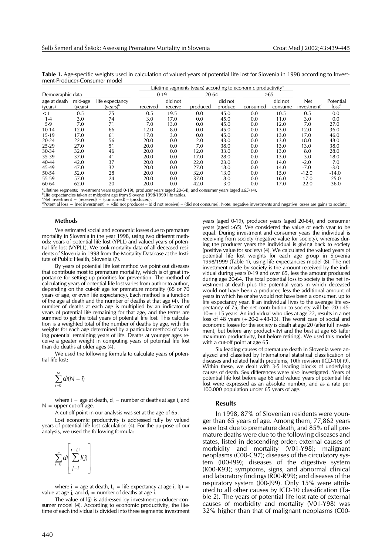**Table 1.** Age-specific weights used in calculation of valued years of potential life lost for Slovenia in 1998 according to Investment-Producer-Consumer model

|                         |                    |                                         | Lifetime segments (years) according to economic productivity <sup>a</sup> |                    |          |                    |          |                    |                                       |                                |
|-------------------------|--------------------|-----------------------------------------|---------------------------------------------------------------------------|--------------------|----------|--------------------|----------|--------------------|---------------------------------------|--------------------------------|
| Demographic data        |                    |                                         |                                                                           | $0 - 19$           |          | 20-64              |          | $\geq 65$          |                                       |                                |
| age at death<br>(years) | mid-age<br>(years) | life expectancy<br>(years) <sup>b</sup> | received                                                                  | did not<br>receive | produced | did not<br>produce | consumed | did not<br>consume | <b>Net</b><br>investment <sup>c</sup> | Potential<br>loss <sup>d</sup> |
| <1                      | 0.5                | 75                                      | 0.5                                                                       | 19.5               | 0.0      | 45.0               | 0.0      | 10.5               | 0.5                                   | 0.0                            |
| $1 - 4$                 | 3.0                | 74                                      | 3.0                                                                       | 17.0               | 0.0      | 45.0               | 0.0      | 11.0               | 3.0                                   | 0.0                            |
| $5-9$                   | 7.0                | 71                                      | 7.0                                                                       | 13.0               | 0.0      | 45.0               | 0.0      | 12.0               | 7.0                                   | 27.0                           |
| 10-14                   | 12.0               | 66                                      | 12.0                                                                      | 8.0                | 0.0      | 45.0               | 0.0      | 13.0               | 12.0                                  | 36.0                           |
| 15-19                   | 17.0               | 61                                      | 17.0                                                                      | 3.0                | 0.0      | 45.0               | 0.0      | 13.0               | 17.0                                  | 46.0                           |
| $20 - 24$               | 22.0               | 56                                      | 20.0                                                                      | 0.0                | 2.0      | 43.0               | 0.0      | 13.0               | 18.0                                  | 48.0                           |
| 25-29                   | 27.0               | 51                                      | 20.0                                                                      | 0.0                | 7.0      | 38.0               | 0.0      | 13.0               | 13.0                                  | 38.0                           |
| 30-34                   | 32.0               | 46                                      | 20.0                                                                      | 0.0                | 12.0     | 33.0               | 0.0      | 13.0               | 8.0                                   | 28.0                           |
| 35-39                   | 37.0               | 41                                      | 20.0                                                                      | 0.0                | 17.0     | 28.0               | 0.0      | 13.0               | 3.0                                   | 18.0                           |
| 40-44                   | 42.0               | 37                                      | 20.0                                                                      | 0.0                | 22.0     | 23.0               | 0.0      | 14.0               | $-2.0$                                | 7.0                            |
| 45-49                   | 47.0               | 32                                      | 20.0                                                                      | 0.0                | 27.0     | 18.0               | 0.0      | 14.0               | $-7.0$                                | $-3.0$                         |
| 50-54                   | 52.0               | 28                                      | 20.0                                                                      | 0.0                | 32.0     | 13.0               | 0.0      | 15.0               | $-12.0$                               | $-14.0$                        |
| 55-59                   | 57.0               | 24                                      | 20.0                                                                      | 0.0                | 37.0     | 8.0                | 0.0      | 16.0               | $-17.0$                               | $-25.0$                        |
| 60-64                   | 62.0               | 20                                      | 20.0                                                                      | 0.0                | 42.0     | 3.0                | 0.0      | 17.0               | $-22.0$                               | $-36.0$                        |

 $^9$ Lifetime segments: investment years (aged 0-19), producer years (aged 20-64), and consumer years (aged  $\geq$ 65) (4).<br><sup>by</sup> ife expectancies taken at midpoint age from Slovene 1998/1999 life tables

<sup>b</sup>Life expectancies taken at midpoint age from Slovene 1998/1999 life tables.<br>'Net investment = (received) + (consumed) – (produced).

d Potential loss = (net investment) + (did not produce) – (did not receive) – (did not consume). Note: negative investments and negative losses are gains to society.

#### **Methods**

We estimated social and economic losses due to premature mortality in Slovenia in the year 1998, using two different methods: years of potential life lost (YPLL) and valued years of potential life lost (VYPLL). We took mortality data of all deceased residents of Slovenia in 1998 from the Mortality Database at the Institute of Public Health, Slovenia (7).

By years of potential life lost method we point out diseases that contribute most to premature mortality, which is of great importance for setting up priorities for prevention. The method of calculating years of potential life lost varies from author to author, depending on the cut-off age for premature mortality (65 or 70 years of age, or even life expectancy). Each method is a function of the age at death and the number of deaths at that age (4). The number of deaths at each age is multiplied by an indicator of years of potential life remaining for that age, and the terms are summed to get the total years of potential life lost. This calculation is a weighted total of the number of deaths by age, with the weights for each age determined by a particular method of valuing potential remaining years of life. Deaths at younger ages receive a greater weight in computing years of potential life lost than do deaths at older ages (4).

We used the following formula to calculate years of potential life lost:

$$
\sum_{i=0}^N di(N-i)
$$

where  $i = age$  at death,  $d_i = number of deaths at age i$ , and  $N =$  upper cut-off age.

A cut-off point in our analysis was set at the age of 65.

Lost economic productivity is addressed fully by valued years of potential life lost calculation (4). For the purpose of our analysis, we used the following formula:

$$
\sum_{i=0}^{\infty} d_i \left[ \sum_{j=i}^{i+Li} I(j) \right]
$$

where  $i = age$  at death,  $L<sub>i</sub> = life$  expectancy at age i,  $I(j) =$ value at age j, and  $d_i$  = number of deaths at age i.

The value of l(j) is addressed by investment-producer-consumer model (4). According to economic productivity, the lifetime of each individual is divided into three segments: investment years (aged 0-19), producer years (aged 20-64), and consumer years (aged >65). We considered the value of each year to be equal. During investment and consumer years the individual is receiving from society (negative value for society), whereas during the producer years the individual is giving back to society (positive value for society) (4). We calculated the valued years of potential life lost weights for each age group in Slovenia 1998/1999 (Table 1), using life expectancies model (8). The net investment made by society is the amount received by the individual during years 0-19 and over 65, less the amount produced during age 20-64. The total potential loss to society is the net investment at death plus the potential years in which deceased would not have been a producer, less the additional amount of years in which he or she would not have been a consumer, up to life expectancy year. If an individual lives to the average life expectancy of 75, the net contribution to society will be -20+45-  $10=+15$  years. An individual who dies at age 22, results in a net loss of 48 years  $(+20-2+43-13)$ . The worst case of social and economic losses for the society is death at age 20 (after full investment, but before any productivity) and the best at age 65 (after maximum productivity, but before retiring). We used this model with a cut-off point at  $49e$  65.

Six leading causes of premature death in Slovenia were analyzed and classified by International statistical classification of diseases and related health problems, 10th revision (ICD-10) (9). Within these, we dealt with 3-5 leading blocks of underlying causes of death. Sex differences were also investigated. Years of potential life lost before age 65 and valued years of potential life lost were expressed as an absolute number, and as a rate per 100,000 population under 65 years of age.

#### **Results**

In 1998, 87% of Slovenian residents were younger than 65 years of age. Among them, 77,862 years were lost due to premature death, and 85% of all premature deaths were due to the following diseases and states, listed in descending order: external causes of morbidity and mortality (V01-Y98); malignant neoplasms (C00-C97); diseases of the circulatory system (I00-I99); diseases of the digestive system (K00-K93); symptoms, signs, and abnormal clinical and laboratory findings (R00-R99); and diseases of the respiratory system (J00-J99). Only 15% were attributed to all other causes by ICD-10 classification (Table 2). The years of potential life lost rate of external causes of morbidity and mortality (V01-Y98) was 32% higher than that of malignant neoplasms (C00-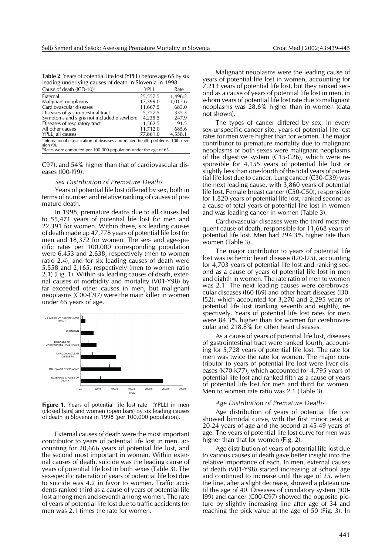| <b>Table 2.</b> Years of potential life lost (YPLL) before age 65 by six                      |          |                   |  |  |  |  |
|-----------------------------------------------------------------------------------------------|----------|-------------------|--|--|--|--|
| leading underlying causes of death in Slovenia in 1998                                        |          |                   |  |  |  |  |
| Cause of death (ICD-10) <sup>a</sup>                                                          | YPLL     | Rate <sup>b</sup> |  |  |  |  |
| External                                                                                      | 25,557.5 | 1,496.2           |  |  |  |  |
| Malignant neoplasms                                                                           | 17,399.0 | 1,017.6           |  |  |  |  |
| Cardiovascular diseases                                                                       | 11,667.5 | 683.0             |  |  |  |  |
| Diseases of gastrointestinal tract                                                            | 5,727.5  | 335.3             |  |  |  |  |
| Symptoms and signs not included elsewhere                                                     | 4,235.5  | 247.9             |  |  |  |  |
| Diseases of respiratory tract                                                                 | 1,562.5  | 91.5              |  |  |  |  |
| All other causes                                                                              | 11,712.0 | 685.6             |  |  |  |  |
| YPLL, all causes                                                                              | 77,861.0 | 4,558.1           |  |  |  |  |
| <sup>a</sup> International classification of diseases and related health problems, 10th revi- |          |                   |  |  |  |  |
| $sion(9)$ .                                                                                   |          |                   |  |  |  |  |
| <sup>b</sup> Rates were computed per 100,000 population under the age of 65.                  |          |                   |  |  |  |  |

C97), and 54% higher than that of cardiovascular diseases (I00-I99).

#### *Sex Distribution of Premature Deaths*

Years of potential life lost differed by sex, both in terms of number and relative ranking of causes of premature death.

In 1998, premature deaths due to all causes led to 55,471 years of potential life lost for men and 22,391 for women. Within these, six leading causes of death made up 47,778 years of potential life lost for men and 18,372 for women. The sex- and age-specific rates per 100,000 corresponding population were 6,453 and 2,638, respectively (men to women ratio 2.4), and for six leading causes of death were 5,558 and 2,165, respectively (men to women ratio 2.1) (Fig. 1). Within six leading causes of death, external causes of morbidity and mortality (V01-Y98) by far exceeded other causes in men, but malignant neoplasms (C00-C97) were the main killer in women under 65 years of age.



**Figure 1**. Years of potential life lost rate (YPLL) in men (closed bars) and women (open bars) by six leading causes of death in Slovenia in 1998 (per 100,000 population).

External causes of death were the most important contributor to years of potential life lost in men, accounting for 20,666 years of potential life lost, and the second most important in women. Within external causes of death, suicide was the leading cause of years of potential life lost in both sexes (Table 3). The sex-specific rate ratio of years of potential life lost due to suicide was 4.2 in favor to women. Traffic accidents ranked third as a cause of years of potential life lost among men and seventh among women. The rate of years of potential life lost due to traffic accidents for men was 2.1 times the rate for women.

Malignant neoplasms were the leading cause of years of potential life lost in women, accounting for 7,213 years of potential life lost, but they ranked second as a cause of years of potential life lost in men, in whom years of potential life lost rate due to malignant neoplasms was 28.6% higher than in women (data not shown).

The types of cancer differed by sex. In every sex-unspecific cancer site, years of potential life lost rates for men were higher than for women. The major contributor to premature mortality due to malignant neoplasms of both sexes were malignant neoplasms of the digestive system (C15-C26), which were responsible for 4,155 years of potential life lost or slightly less than one-fourth of the total years of potential life lost due to cancer. Lung cancer (C30-C39) was the next leading cause, with 3,860 years of potential life lost. Female breast cancer (C50-C50), responsible for 1,820 years of potential life lost, ranked second as a cause of total years of potential life lost in women and was leading cancer in women (Table 3).

Cardiovascular diseases were the third most frequent cause of death, responsible for 11,668 years of potential life lost. Men had 294.3% higher rate than women (Table 3).

The major contributor to years of potential life lost was ischemic heart disease (I20-I25), accounting for 4,703 years of potential life lost and ranking second as a cause of years of potential life lost in men and eighth in women. The rate ratio of men to women was 2.1. The next leading causes were cerebrovascular diseases (I60-I69) and other heart diseases (I30- I52), which accounted for 3,270 and 2,295 years of potential life lost (ranking seventh and eighth), respectively. Years of potential life lost rates for men were 84.3% higher than for women for cerebrovascular and 218.8% for other heart diseases.

As a cause of years of potential life lost, diseases of gastrointestinal tract were ranked fourth, accounting for 5,728 years of potential life lost. The rate for men was twice the rate for women. The major contributor to years of potential life lost were liver diseases (K70-K77), which accounted for 4,795 years of potential life lost and ranked fifth as a cause of years of potential life lost for men and third for women. Men to women rate ratio was 2.1 (Table 3).

#### *Age Distribution of Premature Deaths*

Age distribution of years of potential life lost showed bimodal curve, with the first minor peak at 20-24 years of age and the second at 45-49 years of age. The years of potential life lost curve for men was higher than that for women (Fig. 2).

Age distribution of years of potential life lost due to various causes of death gave better insight into the relative importance of each. In men, external causes of death (V01-Y98) started increasing at school age and continued to increase until the age of 25, when the line, after a slight decrease, showed a plateau until the age of 40. Diseases of circulatory system (I00- I99) and cancer (C00-C97) showed the opposite picture by slightly increasing line after age of 34 and reaching the pick value at the age of 50 (Fig. 3). In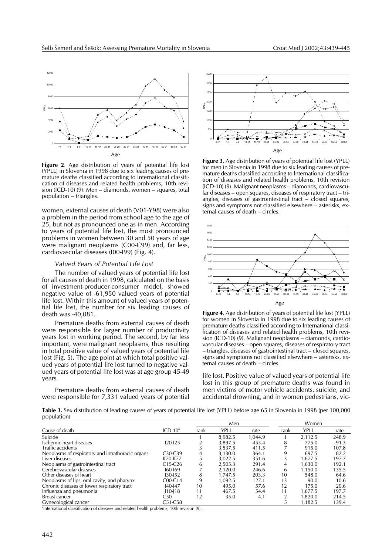

**Figure 2**. Age distribution of years of potential life lost (YPLL) in Slovenia in 1998 due to six leading causes of premature deaths classified according to International classification of diseases and related health problems, 10th revision (ICD-10) (9). Men – diamonds, women – squares, total population – triangles.

women, external causes of death (V01-Y98) were also a problem in the period from school age to the age of 25, but not as pronounced one as in men. According to years of potential life lost, the most pronounced problems in women between 30 and 50 years of age were malignant neoplasms (C00-C99) and, far less, cardiovascular diseases (I00-I99) (Fig. 4).

## *Valued Years of Potential Life Lost*

The number of valued years of potential life lost for all causes of death in 1998, calculated on the basis of investment-producer-consumer model, showed negative value of -61,950 valued years of potential life lost. Within this amount of valued years of potential life lost, the number for six leading causes of death was -40,081.

Premature deaths from external causes of death were responsible for larger number of productivity years lost in working period. The second, by far less important, were malignant neoplasms, thus resulting in total positive value of valued years of potential life lost (Fig. 5). The age point at which total positive valued years of potential life lost turned to negative valued years of potential life lost was at age group 45-49 years.

Premature deaths from external causes of death were responsible for 7,331 valued years of potential



**Figure 3**. Age distribution of years of potential life lost (YPLL) for men in Slovenia in 1998 due to six leading causes of premature deaths classified according to International classification of diseases and related health problems, 10th revision (ICD-10) (9). Malignant neoplasms – diamonds, cardiovascular diseases – open squares, diseases of respiratory tract – triangles, diseases of gastrointestinal tract – closed squares, signs and symptoms not classified elsewhere – asterisks, external causes of death – circles.



**Figure 4**. Age distribution of years of potential life lost (YPLL) for women in Slovenia in 1998 due to six leading causes of premature deaths classified according to International classification of diseases and related health problems, 10th revision (ICD-10) (9). Malignant neoplasms – diamonds, cardiovascular diseases – open squares, diseases of respiratory tract – triangles, diseases of gastrointestinal tract – closed squares, signs and symptoms not classified elsewhere – asterisks, external causes of death – circles.

life lost. Positive value of valued years of potential life lost in this group of premature deaths was found in men victims of motor vehicle accidents, suicide, and accidental drowning, and in women pedestrians, vic-

**Table 3.** Sex distribution of leading causes of years of potential life lost (YPLL) before age 65 in Slovenia in 1998 (per 100,000 population)

|                                                                                                       |             |      | Men         |         |      | Women   |       |
|-------------------------------------------------------------------------------------------------------|-------------|------|-------------|---------|------|---------|-------|
| Cause of death                                                                                        | $ICD-10a$   | rank | <b>YPLL</b> | rate    | rank | YPLL    | rate  |
| Suicide                                                                                               |             |      | 8.982.5     | 1.044.9 |      | 2.112.5 | 248.9 |
| Ischemic heart diseases                                                                               | $120 - 125$ |      | 3.897.5     | 453.4   | 8    | 775.0   | 91.3  |
| Traffic accidents                                                                                     |             |      | 3.537.5     | 411.5   |      | 915.0   | 107.8 |
| Neoplasms of respiratory and intrathoracic organs                                                     | C30-C39     | 4    | 3,130.0     | 364.1   | 9    | 697.5   | 82.2  |
| Liver diseases                                                                                        | K70-K77     | 5    | 3.022.5     | 351.6   |      | 1.677.5 | 197.7 |
| Neoplasms of gastrointestinal tract                                                                   | $C15-C26$   | 6    | 2.505.3     | 291.4   | 4    | 1.630.0 | 192.1 |
| Cerebrovascular diseases                                                                              | $160 - 169$ |      | 2.120.0     | 246.6   | 6    | 1.150.0 | 135.5 |
| Other diseases of heart                                                                               | $130 - 152$ | 8    | 1.747.5     | 203.3   | 10   | 548.0   | 64.6  |
| Neoplasms of lips, oral cavity, and pharynx                                                           | $COO-C14$   | 9    | 1.092.5     | 127.1   | 13   | 90.0    | 10.6  |
| Chronic diseases of lower respiratory tract                                                           | $140-147$   | 10   | 495.0       | 57.6    | 12   | 175.0   | 20.6  |
| Influenza and pneumonia                                                                               | $ 10-118$   | 11   | 467.5       | 54.4    | 11   | 1.677.5 | 197.7 |
| Breast cancer                                                                                         | C50         | 12   | 35.0        | 4.1     |      | 1.820.0 | 214.5 |
| Gynecological cancer                                                                                  | C51-C58     |      |             |         |      | 1,182.5 | 139.4 |
| <sup>a</sup> International classification of diseases and related health problems, 10th revision (9). |             |      |             |         |      |         |       |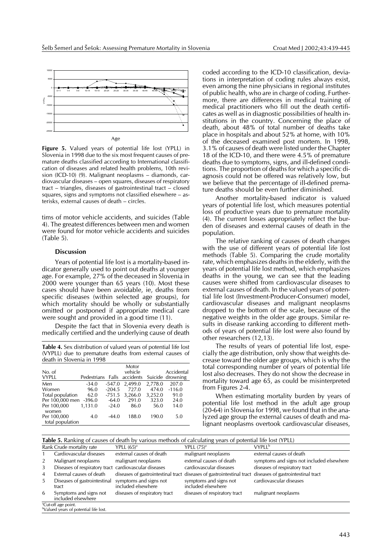

Age

**Figure 5.** Valued years of potential life lost (YPLL) in Slovenia in 1998 due to the six most frequent causes of premature deaths classified according to International classification of diseases and related health problems, 10th revision (ICD-10) (9). Malignant neoplasms – diamonds, cardiovascular diseases – open squares, diseases of respiratory tract – triangles, diseases of gastrointestinal tract – closed squares, signs and symptoms not classified elsewhere – asterisks, external causes of death – circles.

tims of motor vehicle accidents, and suicides (Table 4). The greatest differences between men and women were found for motor vehicle accidents and suicides (Table 5).

## **Discussion**

Years of potential life lost is a mortality-based indicator generally used to point out deaths at younger age. For example, 27% of the deceased in Slovenia in 2000 were younger than 65 years (10). Most these cases should have been avoidable, ie, deaths from specific diseases (within selected age groups), for which mortality should be wholly or substantially omitted or postponed if appropriate medical care were sought and provided in a good time (11).

Despite the fact that in Slovenia every death is medically certified and the underlying cause of death

**Table 4.** Sex distribution of valued years of potential life lost (VYPLL) due to premature deaths from external causes of death in Slovenia in 1998

| No. of                 |                             |          | Motor<br>vehicle |         | Accidental       |
|------------------------|-----------------------------|----------|------------------|---------|------------------|
| <b>VYPLL</b>           | Pedestrians Falls accidents |          |                  |         | Suicide drowning |
| Men                    | $-34.0$                     | -547.0   | 2.499.0          | 2,778.0 | 207.0            |
| Women                  | 96.0                        | $-204.5$ | 727.0            | 474.0   | $-116.0$         |
| Total population       | 62.0                        | $-751.5$ | 3.266.0          | 3,252.0 | 91.0             |
| Per 100,000 men -396.0 |                             | $-64.0$  | 291.0            | 323.0   | 24.0             |
| Per 100,000<br>women   | 1.131.0                     | $-24.0$  | 86.0             | 56.0    | 14.0             |
| Per 100,000            | 4.0                         | $-44.0$  | 188.0            | 190.0   | 5.0              |
| total population       |                             |          |                  |         |                  |

coded according to the ICD-10 classification, deviations in interpretation of coding rules always exist, even among the nine physicians in regional institutes of public health, who are in charge of coding. Furthermore, there are differences in medical training of medical practitioners who fill out the death certificates as well as in diagnostic possibilities of health institutions in the country. Concerning the place of death, about 48% of total number of deaths take place in hospitals and about 52% at home, with 10% of the deceased examined post mortem. In 1998, 3.1% of causes of death were listed under the Chapter 18 of the ICD-10, and there were 4.5% of premature deaths due to symptoms, signs, and ill-defined conditions. The proportion of deaths for which a specific diagnosis could not be offered was relatively low, but we believe that the percentage of ill-defined premature deaths should be even further diminished.

Another mortality-based indicator is valued years of potential life lost, which measures potential loss of productive years due to premature mortality (4). The current losses appropriately reflect the burden of diseases and external causes of death in the population.

The relative ranking of causes of death changes with the use of different years of potential life lost methods (Table 5). Comparing the crude mortality rate, which emphasizes deaths in the elderly, with the years of potential life lost method, which emphasizes deaths in the young, we can see that the leading causes were shifted from cardiovascular diseases to external causes of death. In the valued years of potential life lost (Investment-Producer-Consumer) model, cardiovascular diseases and malignant neoplasms dropped to the bottom of the scale, because of the negative weights in the older age groups. Similar results in disease ranking according to different methods of years of potential life lost were also found by other researchers (12,13).

The results of years of potential life lost, especially the age distribution, only show that weights decrease toward the older age groups, which is why the total corresponding number of years of potential life lost also decreases. They do not show the decrease in mortality toward age 65, as could be misinterpreted from Figures 2-4.

When estimating mortality burden by years of potential life lost method in the adult age group (20-64) in Slovenia for 1998, we found that in the analyzed age group the external causes of death and malignant neoplasms overtook cardiovascular diseases,

| <b>Table 5.</b> Ranking of causes of death by various methods of calculating years of potential life lost (YPLL) |                                                                                      |                                              |                                                                       |                                           |  |  |
|------------------------------------------------------------------------------------------------------------------|--------------------------------------------------------------------------------------|----------------------------------------------|-----------------------------------------------------------------------|-------------------------------------------|--|--|
| Rank Crude mortality rate                                                                                        |                                                                                      | YPLL $(65)^a$                                | YPLL $(75)^a$                                                         | <b>VYPLL</b> <sup>b</sup>                 |  |  |
|                                                                                                                  | Cardiovascular diseases                                                              | external causes of death                     | malignant neoplasms                                                   | external causes of death                  |  |  |
| 2                                                                                                                | Malignant neoplasms                                                                  | malignant neoplasms                          | external causes of death                                              | symptoms and signs not included elsewhere |  |  |
| 3                                                                                                                | Diseases of respiratory tract cardiovascular diseases                                |                                              | cardiovascular diseases                                               | diseases of respiratory tract             |  |  |
| 4                                                                                                                | External causes of death                                                             | diseases of gastrointestinal tract           | diseases of gastrointestinal tract diseases of gastrointestinal tract |                                           |  |  |
| 5.                                                                                                               | Diseases of gastrointestinal<br>tract                                                | symptoms and signs not<br>included elsewhere | symptoms and signs not<br>included elsewhere                          | cardiovascular diseases                   |  |  |
| 6                                                                                                                | Symptoms and signs not<br>included elsewhere                                         | diseases of respiratory tract                | diseases of respiratory tract                                         | malignant neoplasms                       |  |  |
|                                                                                                                  | <sup>a</sup> Cut-off age point.<br><sup>b</sup> Valued years of potential life lost. |                                              |                                                                       |                                           |  |  |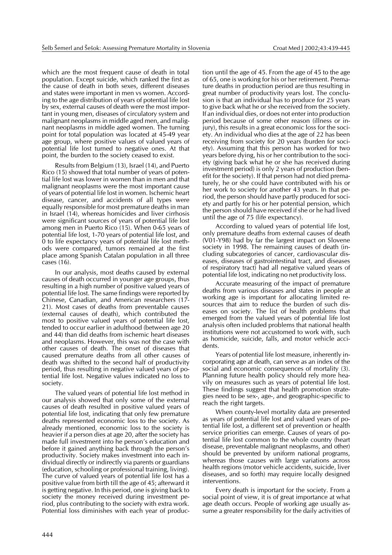which are the most frequent cause of death in total population. Except suicide, which ranked the first as the cause of death in both sexes, different diseases and states were important in men vs women. According to the age distribution of years of potential life lost by sex, external causes of death were the most important in young men, diseases of circulatory system and malignant neoplasms in middle aged men, and malignant neoplasms in middle aged women. The turning point for total population was located at 45-49 year age group, where positive values of valued years of potential life lost turned to negative ones. At that point, the burden to the society ceased to exist.

Results from Belgium (13), Israel (14), and Puerto Rico (15) showed that total number of years of potential life lost was lower in women than in men and that malignant neoplasms were the most important cause of years of potential life lost in women. Ischemic heart disease, cancer, and accidents of all types were equally responsible for most premature deaths in man in Israel (14), whereas homicides and liver cirrhosis were significant sources of years of potential life lost among men in Puerto Rico (15). When 0-65 years of potential life lost, 1-70 years of potential life lost, and 0 to life expectancy years of potential life lost methods were compared, tumors remained at the first place among Spanish Catalan population in all three cases (16).

In our analysis, most deaths caused by external causes of death occurred in younger age groups, thus resulting in a high number of positive valued years of potential life lost. The same findings were reported by Chinese, Canadian, and American researchers (17- 21). Most cases of deaths from preventable causes (external causes of death), which contributed the most to positive valued years of potential life lost, tended to occur earlier in adulthood (between age 20 and 44) than did deaths from ischemic heart diseases and neoplasms. However, this was not the case with other causes of death. The onset of diseases that caused premature deaths from all other causes of death was shifted to the second half of productivity period, thus resulting in negative valued years of potential life lost. Negative values indicated no loss to society.

The valued years of potential life lost method in our analysis showed that only some of the external causes of death resulted in positive valued years of potential life lost, indicating that only few premature deaths represented economic loss to the society. As already mentioned, economic loss to the society is heavier if a person dies at age 20, after the society has made full investment into he person's education and before it gained anything back through the person's productivity. Society makes investment into each individual directly or indirectly via parents or guardians (education, schooling or professional training, living). The curve of valued years of potential life lost has a positive value from birth till the age of 45; afterward it is getting negative. In this period, one is giving back to society the money received during investment period, plus contributing to the society with extra work. Potential loss diminishes with each year of produc-

tion until the age of 45. From the age of 45 to the age of 65, one is working for his or her retirement. Premature deaths in production period are thus resulting in great number of productivity years lost. The conclusion is that an individual has to produce for 25 years to give back what he or she received from the society. If an individual dies, or does not enter into production period because of some other reason (illness or injury), this results in a great economic loss for the society. An individual who dies at the age of 22 has been receiving from society for 20 years (burden for society). Assuming that this person has worked for two years before dying, his or her contribution to the society (giving back what he or she has received during investment period) is only 2 years of production (benefit for the society). If that person had not died prematurely, he or she could have contributed with his or her work to society for another 43 years. In that period, the person should have partly produced for society and partly for his or her potential pension, which the person should have received if she or he had lived until the age of 75 (life expectancy).

According to valued years of potential life lost, only premature deaths from external causes of death (V01-Y98) had by far the largest impact on Slovene society in 1998. The remaining causes of death (including subcategories of cancer, cardiovascular diseases, diseases of gastrointestinal tract, and diseases of respiratory tract) had all negative valued years of potential life lost, indicating no net productivity loss.

Accurate measuring of the impact of premature deaths from various diseases and states in people at working age is important for allocating limited resources that aim to reduce the burden of such diseases on society. The list of health problems that emerged from the valued years of potential life lost analysis often included problems that national health institutions were not accustomed to work with, such as homicide, suicide, falls, and motor vehicle accidents.

Years of potential life lost measure, inherently incorporating age at death, can serve as an index of the social and economic consequences of mortality (3). Planning future health policy should rely more heavily on measures such as years of potential life lost. These findings suggest that health promotion strategies need to be sex-, age-, and geographic-specific to reach the right targets.

When county-level mortality data are presented as years of potential life lost and valued years of potential life lost, a different set of prevention or health service priorities can emerge. Causes of years of potential life lost common to the whole country (heart disease, preventable malignant neoplasms, and other) should be prevented by uniform national programs, whereas those causes with large variations across health regions (motor vehicle accidents, suicide, liver diseases, and so forth) may require locally designed interventions.

Every death is important for the society. From a social point of view, it is of great importance at what age death occurs. People of working age usually assume a greater responsibility for the daily activities of